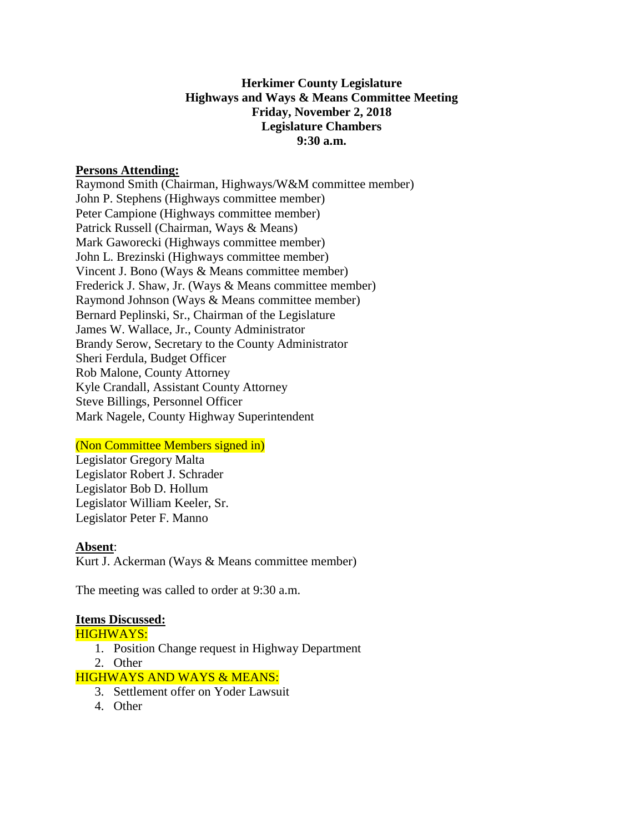# **Herkimer County Legislature Highways and Ways & Means Committee Meeting Friday, November 2, 2018 Legislature Chambers 9:30 a.m.**

### **Persons Attending:**

Raymond Smith (Chairman, Highways/W&M committee member) John P. Stephens (Highways committee member) Peter Campione (Highways committee member) Patrick Russell (Chairman, Ways & Means) Mark Gaworecki (Highways committee member) John L. Brezinski (Highways committee member) Vincent J. Bono (Ways & Means committee member) Frederick J. Shaw, Jr. (Ways & Means committee member) Raymond Johnson (Ways & Means committee member) Bernard Peplinski, Sr., Chairman of the Legislature James W. Wallace, Jr., County Administrator Brandy Serow, Secretary to the County Administrator Sheri Ferdula, Budget Officer Rob Malone, County Attorney Kyle Crandall, Assistant County Attorney Steve Billings, Personnel Officer Mark Nagele, County Highway Superintendent

## (Non Committee Members signed in)

Legislator Gregory Malta Legislator Robert J. Schrader Legislator Bob D. Hollum Legislator William Keeler, Sr. Legislator Peter F. Manno

#### **Absent**:

Kurt J. Ackerman (Ways & Means committee member)

The meeting was called to order at 9:30 a.m.

#### **Items Discussed:**

#### HIGHWAYS:

- 1. Position Change request in Highway Department
- 2. Other

#### HIGHWAYS AND WAYS & MEANS:

- 3. Settlement offer on Yoder Lawsuit
- 4. Other